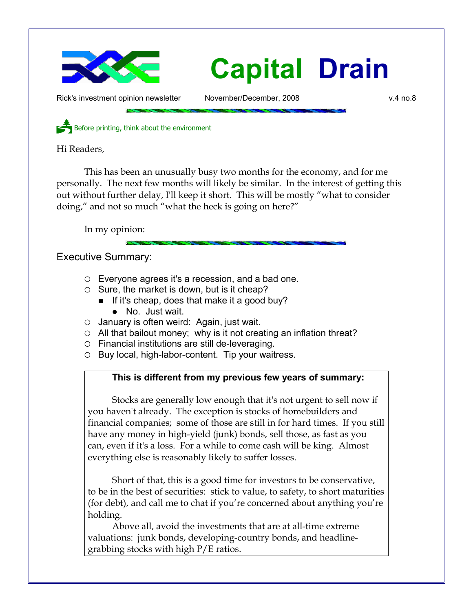

Rick's investment opinion newsletter Movember/December, 2008 v.4 no.8

Before printing, think about the environment

Hi Readers,

This has been an unusually busy two months for the economy, and for me personally. The next few months will likely be similar. In the interest of getting this out without further delay, I'll keep it short. This will be mostly "what to consider doing," and not so much "what the heck is going on here?"

In my opinion:

### Executive Summary:

- Everyone agrees it's a recession, and a bad one.
- $\circ$  Sure, the market is down, but is it cheap?
	- If it's cheap, does that make it a good buy?
		- No. Just wait.
- $\circ$  January is often weird: Again, just wait.
- $\circ$  All that bailout money; why is it not creating an inflation threat?
- Financial institutions are still de-leveraging.
- Buy local, high-labor-content. Tip your waitress.

### **This is different from my previous few years of summary:**

Stocks are generally low enough that it's not urgent to sell now if you haven't already. The exception is stocks of homebuilders and financial companies; some of those are still in for hard times. If you still have any money in high-yield (junk) bonds, sell those, as fast as you can, even if it's a loss. For a while to come cash will be king. Almost everything else is reasonably likely to suffer losses.

Short of that, this is a good time for investors to be conservative, to be in the best of securities: stick to value, to safety, to short maturities (for debt), and call me to chat if you're concerned about anything you're holding.

Above all, avoid the investments that are at all-time extreme valuations: junk bonds, developing-country bonds, and headlinegrabbing stocks with high P/E ratios.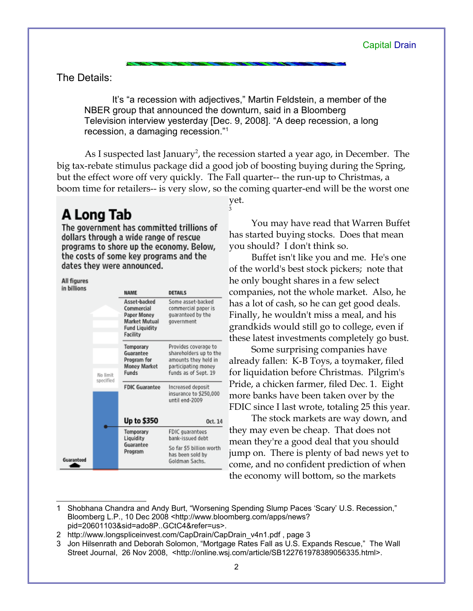The Details:

It's "a recession with adjectives," Martin Feldstein, a member of the NBER group that announced the downturn, said in a Bloomberg Television interview yesterday [Dec. 9, 2008]. "A deep recession, a long recession, a damaging recession."[1](#page-1-0)

As I suspected last January<sup>[2](#page-1-1)</sup>, the recession started a year ago, in December. The big tax-rebate stimulus package did a good job of boosting buying during the Spring, but the effect wore off very quickly. The Fall quarter-- the run-up to Christmas, a boom time for retailers-- is very slow, so the coming quarter-end will be the worst one

# A Long Tab

All figures

The government has committed trillions of dollars through a wide range of rescue programs to shore up the economy. Below, the costs of some key programs and the dates they were announced.

| in billions |           | <b>NAME</b>                                                                                     | <b>DETAILS</b>                                                                                                        |
|-------------|-----------|-------------------------------------------------------------------------------------------------|-----------------------------------------------------------------------------------------------------------------------|
|             |           | Asset-backed<br>Commercial<br>Paper Money<br>Market Mutual<br><b>Fund Liquidity</b><br>Facility | Some asset-backed<br>commercial paper is<br>guaranteed by the<br>government                                           |
|             | No limit  | Temporary<br>Guarantee<br>Program for<br>Money Market<br>Funds                                  | Provides coverage to<br>shareholders up to the<br>amounts they held in<br>participating money<br>funds as of Sept. 19 |
|             | specified | <b>FDIC Guarantee</b>                                                                           | Increased deposit<br>insurance to \$250,000<br>until end-2009                                                         |
|             |           | Up to \$350                                                                                     | Oct. 14                                                                                                               |
| Guaranteed  |           | Temporary<br>Liquidity<br>Guarantee<br>Program                                                  | FDIC guarantees<br>bank-issued debt                                                                                   |
|             |           |                                                                                                 | So far \$5 billion worth<br>has been sold by<br>Goldman Sachs.                                                        |

yet. [3](#page-1-2)

> You may have read that Warren Buffet has started buying stocks. Does that mean you should? I don't think so.

> Buffet isn't like you and me. He's one of the world's best stock pickers; note that he only bought shares in a few select companies, not the whole market. Also, he has a lot of cash, so he can get good deals. Finally, he wouldn't miss a meal, and his grandkids would still go to college, even if these latest investments completely go bust.

> Some surprising companies have already fallen: K-B Toys, a toymaker, filed for liquidation before Christmas. Pilgrim's Pride, a chicken farmer, filed Dec. 1. Eight more banks have been taken over by the FDIC since I last wrote, totaling 25 this year.

> The stock markets are way down, and they may even be cheap. That does not mean they're a good deal that you should jump on. There is plenty of bad news yet to come, and no confident prediction of when the economy will bottom, so the markets

<span id="page-1-0"></span><sup>1</sup> Shobhana Chandra and Andy Burt, "Worsening Spending Slump Paces 'Scary' U.S. Recession," Bloomberg L.P., 10 Dec 2008 <http://www.bloomberg.com/apps/news? pid=20601103&sid=ado8P..GCtC4&refer=us>.

<span id="page-1-1"></span><sup>2</sup> http://www.longspliceinvest.com/CapDrain/CapDrain\_v4n1.pdf , page 3

<span id="page-1-2"></span><sup>3</sup> Jon Hilsenrath and Deborah Solomon, "Mortgage Rates Fall as U.S. Expands Rescue," The Wall Street Journal, 26 Nov 2008, <http://online.wsj.com/article/SB122761978389056335.html>.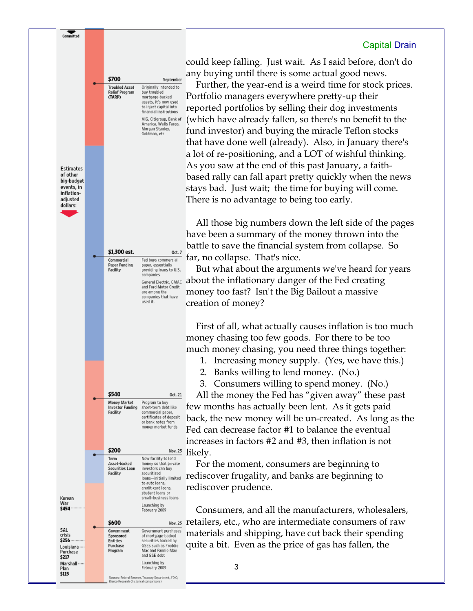\$700 September Originally intended to **Troubled Asset** Relief Program buy troubled (TARP) mortgage-hacked assets, it's now used to inject capital into financial institutions AIG, Citigroup, Bank of Andy exignedy, bank of<br>America, Wells Fargo,<br>Morgan Stanley, Goldman, etc. Estimatos of other big-budget events, in inflationadjusted dollars: \$1,300 est. Oct. 7 Fed buys commercial Commercial paper, essentially Paper Funding Facility providing loans to U.S. companies General Electric, GMAC and Ford Motor Credit are among the companies that have used it. \$540 Oct. 21 Program to buy<br>short-term debt like Money Market **Investor Funding** Facility commercial paper. certificates of deposit or bank notes from money market funds \$200 Nov. 25 New facility to lend Term Asset-backed money so that private investors can buy Securities Loan Facility securitized loans—initially limited<br>to auto loans, credit-card loans. student loans or Korean<br>War small-business loans Launching by \$454 February 2009 \$600 **S&L** Government purchases<br>of mortgage-backed Government  $\frac{1}{2}$ crisis Sponsored Entities securities backed by GSEs such as Freddie<br>Mac and Fannie Mae Purchase Louisiana Purchase Program and GSE debt \$217 Launching by Marshall<br>Plan February 2009 \$115 Sources: Federal Reserve, Treasury Department, FDIC;<br>Bianco Research (historical comparisons)

Committed

could keep falling. Just wait. As I said before, don't do any buying until there is some actual good news.

Further, the year-end is a weird time for stock prices. Portfolio managers everywhere pretty-up their reported portfolios by selling their dog investments (which have already fallen, so there's no benefit to the fund investor) and buying the miracle Teflon stocks that have done well (already). Also, in January there's a lot of re-positioning, and a LOT of wishful thinking. As you saw at the end of this past January, a faithbased rally can fall apart pretty quickly when the news stays bad. Just wait; the time for buying will come. There is no advantage to being too early.

All those big numbers down the left side of the pages have been a summary of the money thrown into the battle to save the financial system from collapse. So far, no collapse. That's nice.

But what about the arguments we've heard for years about the inflationary danger of the Fed creating money too fast? Isn't the Big Bailout a massive creation of money?

First of all, what actually causes inflation is too much money chasing too few goods. For there to be too much money chasing, you need three things together:

- 1. Increasing money supply. (Yes, we have this.)
- 2. Banks willing to lend money. (No.)

3. Consumers willing to spend money. (No.)

All the money the Fed has "given away" these past few months has actually been lent. As it gets paid back, the new money will be un-created. As long as the Fed can decrease factor #1 to balance the eventual increases in factors #2 and #3, then inflation is not likely.

For the moment, consumers are beginning to rediscover frugality, and banks are beginning to rediscover prudence.

Consumers, and all the manufacturers, wholesalers, Nov. 25 retailers, etc., who are intermediate consumers of raw materials and shipping, have cut back their spending quite a bit. Even as the price of gas has fallen, the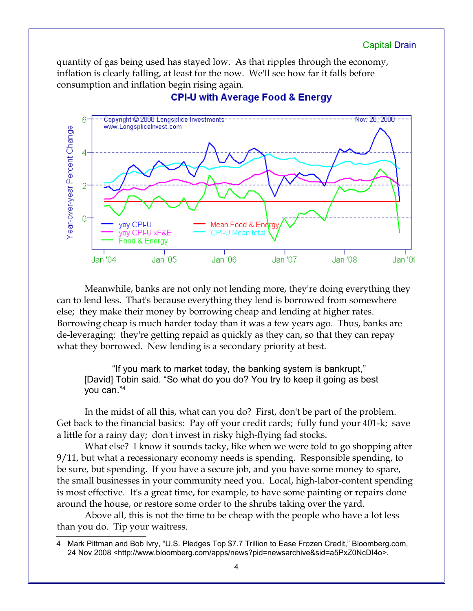quantity of gas being used has stayed low. As that ripples through the economy, inflation is clearly falling, at least for the now. We'll see how far it falls before consumption and inflation begin rising again.



## **CPI-U with Average Food & Energy**

Meanwhile, banks are not only not lending more, they're doing everything they can to lend less. That's because everything they lend is borrowed from somewhere else; they make their money by borrowing cheap and lending at higher rates. Borrowing cheap is much harder today than it was a few years ago. Thus, banks are de-leveraging: they're getting repaid as quickly as they can, so that they can repay what they borrowed. New lending is a secondary priority at best.

"If you mark to market today, the banking system is bankrupt," [David] Tobin said. "So what do you do? You try to keep it going as best you can."[4](#page-3-0)

In the midst of all this, what can you do? First, don't be part of the problem. Get back to the financial basics: Pay off your credit cards; fully fund your 401-k; save a little for a rainy day; don't invest in risky high-flying fad stocks.

What else? I know it sounds tacky, like when we were told to go shopping after 9/11, but what a recessionary economy needs is spending. Responsible spending, to be sure, but spending. If you have a secure job, and you have some money to spare, the small businesses in your community need you. Local, high-labor-content spending is most effective. It's a great time, for example, to have some painting or repairs done around the house, or restore some order to the shrubs taking over the yard.

Above all, this is not the time to be cheap with the people who have a lot less than you do. Tip your waitress.

<span id="page-3-0"></span>Mark Pittman and Bob Ivry, "U.S. Pledges Top \$7.7 Trillion to Ease Frozen Credit," Bloomberg.com, 24 Nov 2008 <http://www.bloomberg.com/apps/news?pid=newsarchive&sid=a5PxZ0NcDI4o>.